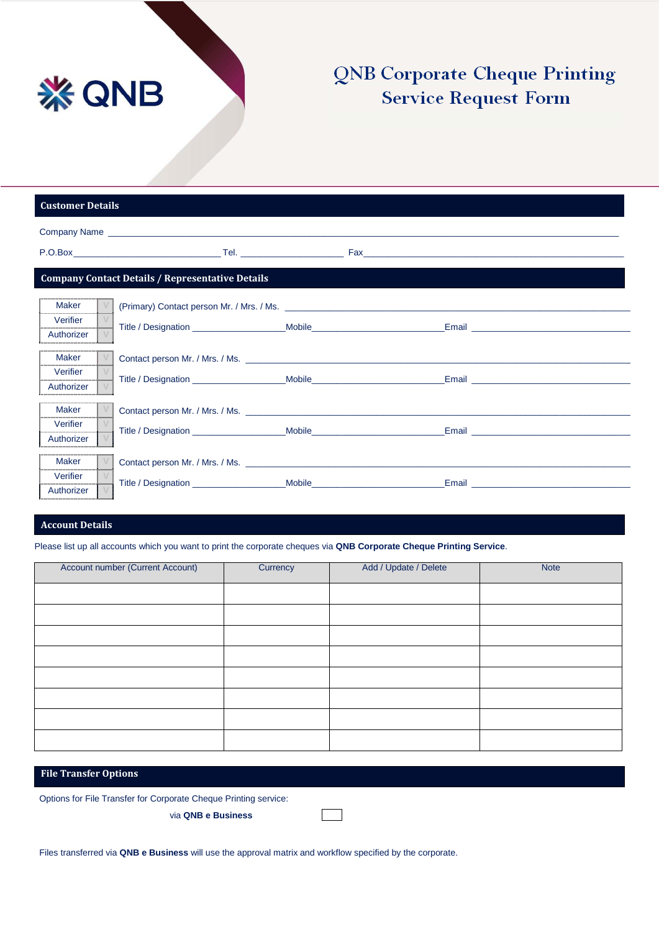

# **QNB Corporate Cheque Printing Service Request Form**

| <b>Customer Details</b>                                 |                                                                                                                                                                                                                                                                                                                        |  |  |  |  |  |
|---------------------------------------------------------|------------------------------------------------------------------------------------------------------------------------------------------------------------------------------------------------------------------------------------------------------------------------------------------------------------------------|--|--|--|--|--|
|                                                         |                                                                                                                                                                                                                                                                                                                        |  |  |  |  |  |
|                                                         |                                                                                                                                                                                                                                                                                                                        |  |  |  |  |  |
| <b>Company Contact Details / Representative Details</b> |                                                                                                                                                                                                                                                                                                                        |  |  |  |  |  |
| Maker                                                   |                                                                                                                                                                                                                                                                                                                        |  |  |  |  |  |
| Verifier<br>Authorizer                                  | Title / Designation Mobile Mobile Mobile                                                                                                                                                                                                                                                                               |  |  |  |  |  |
| <b>Maker</b>                                            |                                                                                                                                                                                                                                                                                                                        |  |  |  |  |  |
| Verifier<br>Authorizer                                  |                                                                                                                                                                                                                                                                                                                        |  |  |  |  |  |
|                                                         |                                                                                                                                                                                                                                                                                                                        |  |  |  |  |  |
| Maker                                                   |                                                                                                                                                                                                                                                                                                                        |  |  |  |  |  |
| Verifier                                                | Title / Designation _____________________________Mobile_________________________<br>Email <b>Explorer Service Control</b> Products and Control Products and Control Products and Control Products and Control Products and Control Products and Control Products and Control Products and Control Products and Control |  |  |  |  |  |
| Authorizer                                              |                                                                                                                                                                                                                                                                                                                        |  |  |  |  |  |
| Maker                                                   |                                                                                                                                                                                                                                                                                                                        |  |  |  |  |  |
| Verifier                                                | Email <b>Email Executive Contract Contract Contract Contract Contract Contract Contract Contract Contract Contract Contract Contract Contract Contract Contract Contract Contract Contract Contract Contract Contract Contract</b>                                                                                     |  |  |  |  |  |
| Authorizer                                              |                                                                                                                                                                                                                                                                                                                        |  |  |  |  |  |

## **Account Details**

Please list up all accounts which you want to print the corporate cheques via **QNB Corporate Cheque Printing Service**.

| Account number (Current Account) | Currency | Add / Update / Delete | <b>Note</b> |
|----------------------------------|----------|-----------------------|-------------|
|                                  |          |                       |             |
|                                  |          |                       |             |
|                                  |          |                       |             |
|                                  |          |                       |             |
|                                  |          |                       |             |
|                                  |          |                       |             |
|                                  |          |                       |             |
|                                  |          |                       |             |

### **File Transfer Options**

Options for File Transfer for Corporate Cheque Printing service:

via **QNB e Business**

 $\overline{\phantom{a}}$ 

Files transferred via **QNB e Business** will use the approval matrix and workflow specified by the corporate.